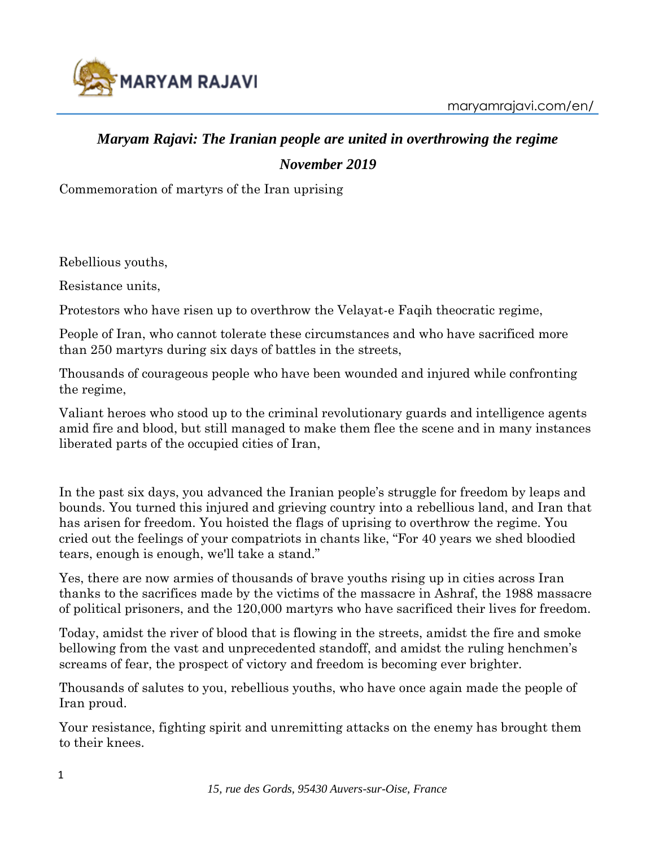

## *Maryam Rajavi: The Iranian people are united in overthrowing the regime November 2019*

Commemoration of martyrs of the Iran uprising

Rebellious youths,

Resistance units,

Protestors who have risen up to overthrow the Velayat-e Faqih theocratic regime,

People of Iran, who cannot tolerate these circumstances and who have sacrificed more than 250 martyrs during six days of battles in the streets,

Thousands of courageous people who have been wounded and injured while confronting the regime,

Valiant heroes who stood up to the criminal revolutionary guards and intelligence agents amid fire and blood, but still managed to make them flee the scene and in many instances liberated parts of the occupied cities of Iran,

In the past six days, you advanced the Iranian people's struggle for freedom by leaps and bounds. You turned this injured and grieving country into a rebellious land, and Iran that has arisen for freedom. You hoisted the flags of uprising to overthrow the regime. You cried out the feelings of your compatriots in chants like, "For 40 years we shed bloodied tears, enough is enough, we'll take a stand."

Yes, there are now armies of thousands of brave youths rising up in cities across Iran thanks to the sacrifices made by the victims of the massacre in Ashraf, the 1988 massacre of political prisoners, and the 120,000 martyrs who have sacrificed their lives for freedom.

Today, amidst the river of blood that is flowing in the streets, amidst the fire and smoke bellowing from the vast and unprecedented standoff, and amidst the ruling henchmen's screams of fear, the prospect of victory and freedom is becoming ever brighter.

Thousands of salutes to you, rebellious youths, who have once again made the people of Iran proud.

Your resistance, fighting spirit and unremitting attacks on the enemy has brought them to their knees.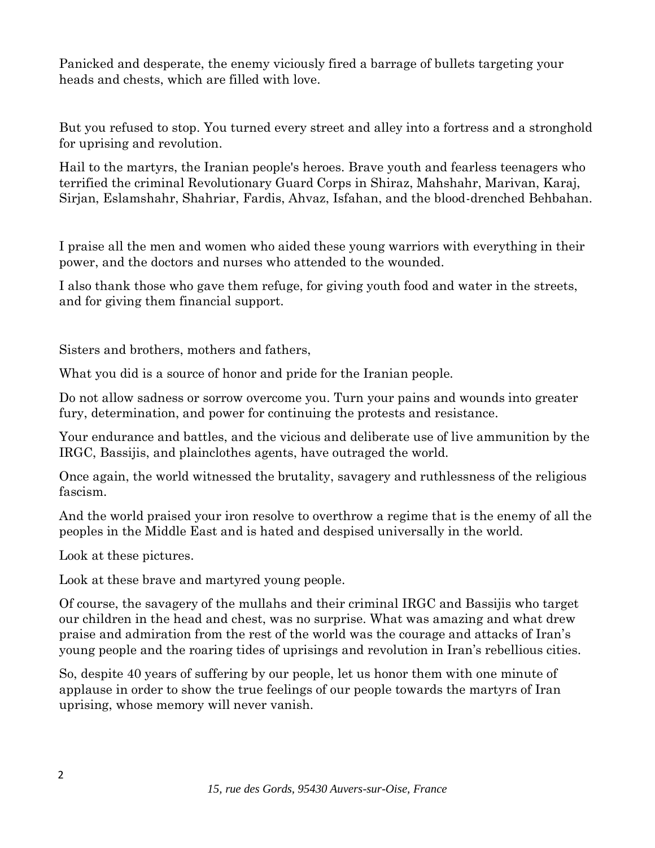Panicked and desperate, the enemy viciously fired a barrage of bullets targeting your heads and chests, which are filled with love.

But you refused to stop. You turned every street and alley into a fortress and a stronghold for uprising and revolution.

Hail to the martyrs, the Iranian people's heroes. Brave youth and fearless teenagers who terrified the criminal Revolutionary Guard Corps in Shiraz, Mahshahr, Marivan, Karaj, Sirjan, Eslamshahr, Shahriar, Fardis, Ahvaz, Isfahan, and the blood-drenched Behbahan.

I praise all the men and women who aided these young warriors with everything in their power, and the doctors and nurses who attended to the wounded.

I also thank those who gave them refuge, for giving youth food and water in the streets, and for giving them financial support.

Sisters and brothers, mothers and fathers,

What you did is a source of honor and pride for the Iranian people.

Do not allow sadness or sorrow overcome you. Turn your pains and wounds into greater fury, determination, and power for continuing the protests and resistance.

Your endurance and battles, and the vicious and deliberate use of live ammunition by the IRGC, Bassijis, and plainclothes agents, have outraged the world.

Once again, the world witnessed the brutality, savagery and ruthlessness of the religious fascism.

And the world praised your iron resolve to overthrow a regime that is the enemy of all the peoples in the Middle East and is hated and despised universally in the world.

Look at these pictures.

Look at these brave and martyred young people.

Of course, the savagery of the mullahs and their criminal IRGC and Bassijis who target our children in the head and chest, was no surprise. What was amazing and what drew praise and admiration from the rest of the world was the courage and attacks of Iran's young people and the roaring tides of uprisings and revolution in Iran's rebellious cities.

So, despite 40 years of suffering by our people, let us honor them with one minute of applause in order to show the true feelings of our people towards the martyrs of Iran uprising, whose memory will never vanish.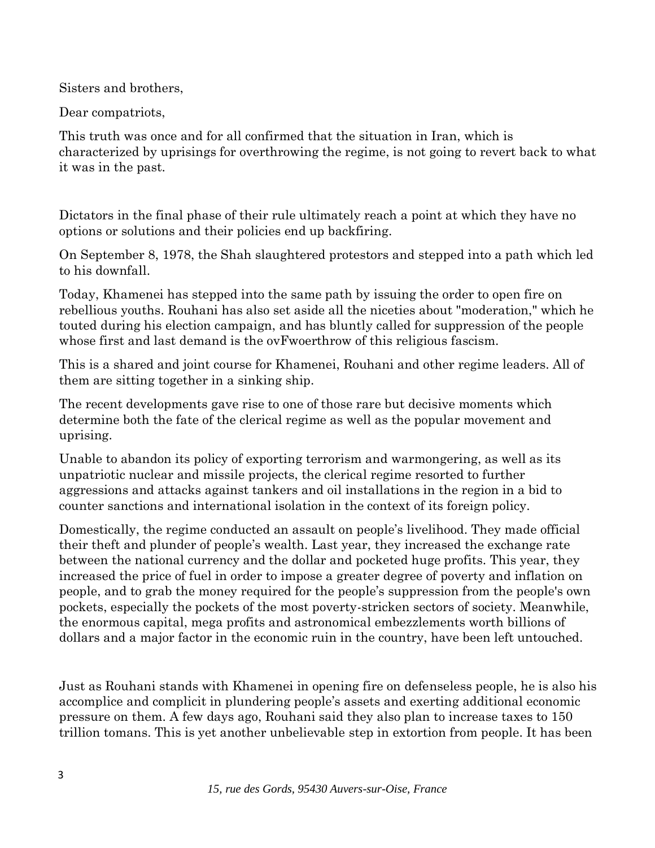Sisters and brothers,

Dear compatriots,

This truth was once and for all confirmed that the situation in Iran, which is characterized by uprisings for overthrowing the regime, is not going to revert back to what it was in the past.

Dictators in the final phase of their rule ultimately reach a point at which they have no options or solutions and their policies end up backfiring.

On September 8, 1978, the Shah slaughtered protestors and stepped into a path which led to his downfall.

Today, Khamenei has stepped into the same path by issuing the order to open fire on rebellious youths. Rouhani has also set aside all the niceties about "moderation," which he touted during his election campaign, and has bluntly called for suppression of the people whose first and last demand is the ovFwoerthrow of this religious fascism.

This is a shared and joint course for Khamenei, Rouhani and other regime leaders. All of them are sitting together in a sinking ship.

The recent developments gave rise to one of those rare but decisive moments which determine both the fate of the clerical regime as well as the popular movement and uprising.

Unable to abandon its policy of exporting terrorism and warmongering, as well as its unpatriotic nuclear and missile projects, the clerical regime resorted to further aggressions and attacks against tankers and oil installations in the region in a bid to counter sanctions and international isolation in the context of its foreign policy.

Domestically, the regime conducted an assault on people's livelihood. They made official their theft and plunder of people's wealth. Last year, they increased the exchange rate between the national currency and the dollar and pocketed huge profits. This year, they increased the price of fuel in order to impose a greater degree of poverty and inflation on people, and to grab the money required for the people's suppression from the people's own pockets, especially the pockets of the most poverty-stricken sectors of society. Meanwhile, the enormous capital, mega profits and astronomical embezzlements worth billions of dollars and a major factor in the economic ruin in the country, have been left untouched.

Just as Rouhani stands with Khamenei in opening fire on defenseless people, he is also his accomplice and complicit in plundering people's assets and exerting additional economic pressure on them. A few days ago, Rouhani said they also plan to increase taxes to 150 trillion tomans. This is yet another unbelievable step in extortion from people. It has been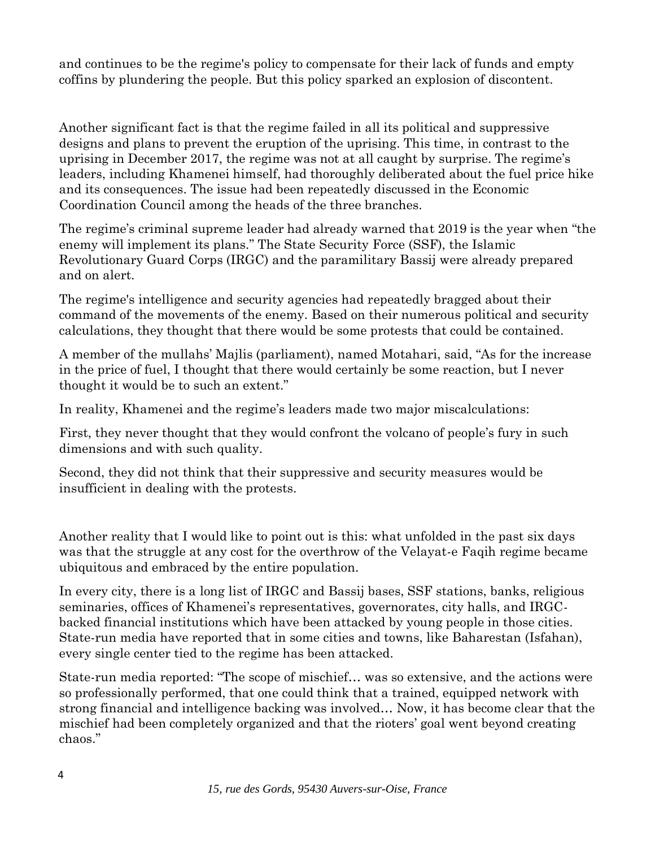and continues to be the regime's policy to compensate for their lack of funds and empty coffins by plundering the people. But this policy sparked an explosion of discontent.

Another significant fact is that the regime failed in all its political and suppressive designs and plans to prevent the eruption of the uprising. This time, in contrast to the uprising in December 2017, the regime was not at all caught by surprise. The regime's leaders, including Khamenei himself, had thoroughly deliberated about the fuel price hike and its consequences. The issue had been repeatedly discussed in the Economic Coordination Council among the heads of the three branches.

The regime's criminal supreme leader had already warned that 2019 is the year when "the enemy will implement its plans." The State Security Force (SSF), the Islamic Revolutionary Guard Corps (IRGC) and the paramilitary Bassij were already prepared and on alert.

The regime's intelligence and security agencies had repeatedly bragged about their command of the movements of the enemy. Based on their numerous political and security calculations, they thought that there would be some protests that could be contained.

A member of the mullahs' Majlis (parliament), named Motahari, said, "As for the increase in the price of fuel, I thought that there would certainly be some reaction, but I never thought it would be to such an extent."

In reality, Khamenei and the regime's leaders made two major miscalculations:

First, they never thought that they would confront the volcano of people's fury in such dimensions and with such quality.

Second, they did not think that their suppressive and security measures would be insufficient in dealing with the protests.

Another reality that I would like to point out is this: what unfolded in the past six days was that the struggle at any cost for the overthrow of the Velayat-e Faqih regime became ubiquitous and embraced by the entire population.

In every city, there is a long list of IRGC and Bassij bases, SSF stations, banks, religious seminaries, offices of Khamenei's representatives, governorates, city halls, and IRGCbacked financial institutions which have been attacked by young people in those cities. State-run media have reported that in some cities and towns, like Baharestan (Isfahan), every single center tied to the regime has been attacked.

State-run media reported: "The scope of mischief… was so extensive, and the actions were so professionally performed, that one could think that a trained, equipped network with strong financial and intelligence backing was involved… Now, it has become clear that the mischief had been completely organized and that the rioters' goal went beyond creating chaos."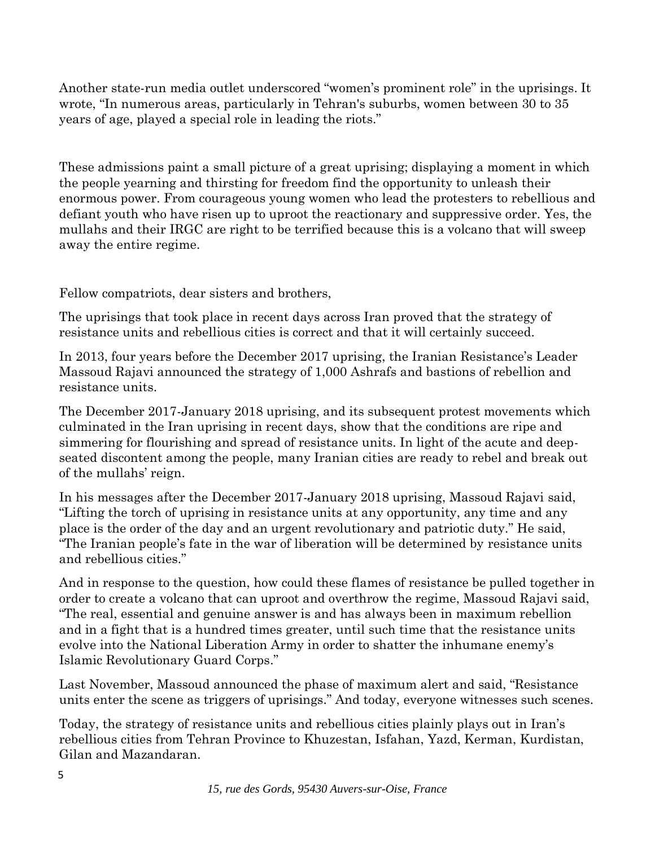Another state-run media outlet underscored "women's prominent role" in the uprisings. It wrote, "In numerous areas, particularly in Tehran's suburbs, women between 30 to 35 years of age, played a special role in leading the riots."

These admissions paint a small picture of a great uprising; displaying a moment in which the people yearning and thirsting for freedom find the opportunity to unleash their enormous power. From courageous young women who lead the protesters to rebellious and defiant youth who have risen up to uproot the reactionary and suppressive order. Yes, the mullahs and their IRGC are right to be terrified because this is a volcano that will sweep away the entire regime.

Fellow compatriots, dear sisters and brothers,

The uprisings that took place in recent days across Iran proved that the strategy of resistance units and rebellious cities is correct and that it will certainly succeed.

In 2013, four years before the December 2017 uprising, the Iranian Resistance's Leader Massoud Rajavi announced the strategy of 1,000 Ashrafs and bastions of rebellion and resistance units.

The December 2017-January 2018 uprising, and its subsequent protest movements which culminated in the Iran uprising in recent days, show that the conditions are ripe and simmering for flourishing and spread of resistance units. In light of the acute and deepseated discontent among the people, many Iranian cities are ready to rebel and break out of the mullahs' reign.

In his messages after the December 2017-January 2018 uprising, Massoud Rajavi said, "Lifting the torch of uprising in resistance units at any opportunity, any time and any place is the order of the day and an urgent revolutionary and patriotic duty." He said, "The Iranian people's fate in the war of liberation will be determined by resistance units and rebellious cities."

And in response to the question, how could these flames of resistance be pulled together in order to create a volcano that can uproot and overthrow the regime, Massoud Rajavi said, "The real, essential and genuine answer is and has always been in maximum rebellion and in a fight that is a hundred times greater, until such time that the resistance units evolve into the National Liberation Army in order to shatter the inhumane enemy's Islamic Revolutionary Guard Corps."

Last November, Massoud announced the phase of maximum alert and said, "Resistance units enter the scene as triggers of uprisings." And today, everyone witnesses such scenes.

Today, the strategy of resistance units and rebellious cities plainly plays out in Iran's rebellious cities from Tehran Province to Khuzestan, Isfahan, Yazd, Kerman, Kurdistan, Gilan and Mazandaran.

*15, rue des Gords, 95430 Auvers-sur-Oise, France*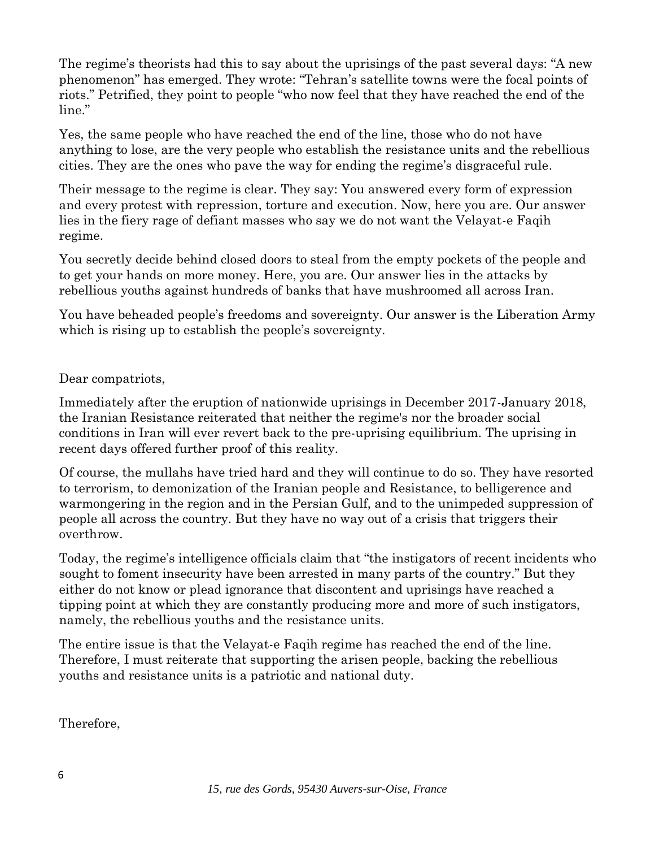The regime's theorists had this to say about the uprisings of the past several days: "A new phenomenon" has emerged. They wrote: "Tehran's satellite towns were the focal points of riots." Petrified, they point to people "who now feel that they have reached the end of the line."

Yes, the same people who have reached the end of the line, those who do not have anything to lose, are the very people who establish the resistance units and the rebellious cities. They are the ones who pave the way for ending the regime's disgraceful rule.

Their message to the regime is clear. They say: You answered every form of expression and every protest with repression, torture and execution. Now, here you are. Our answer lies in the fiery rage of defiant masses who say we do not want the Velayat-e Faqih regime.

You secretly decide behind closed doors to steal from the empty pockets of the people and to get your hands on more money. Here, you are. Our answer lies in the attacks by rebellious youths against hundreds of banks that have mushroomed all across Iran.

You have beheaded people's freedoms and sovereignty. Our answer is the Liberation Army which is rising up to establish the people's sovereignty.

Dear compatriots,

Immediately after the eruption of nationwide uprisings in December 2017-January 2018, the Iranian Resistance reiterated that neither the regime's nor the broader social conditions in Iran will ever revert back to the pre-uprising equilibrium. The uprising in recent days offered further proof of this reality.

Of course, the mullahs have tried hard and they will continue to do so. They have resorted to terrorism, to demonization of the Iranian people and Resistance, to belligerence and warmongering in the region and in the Persian Gulf, and to the unimpeded suppression of people all across the country. But they have no way out of a crisis that triggers their overthrow.

Today, the regime's intelligence officials claim that "the instigators of recent incidents who sought to foment insecurity have been arrested in many parts of the country." But they either do not know or plead ignorance that discontent and uprisings have reached a tipping point at which they are constantly producing more and more of such instigators, namely, the rebellious youths and the resistance units.

The entire issue is that the Velayat-e Faqih regime has reached the end of the line. Therefore, I must reiterate that supporting the arisen people, backing the rebellious youths and resistance units is a patriotic and national duty.

Therefore,